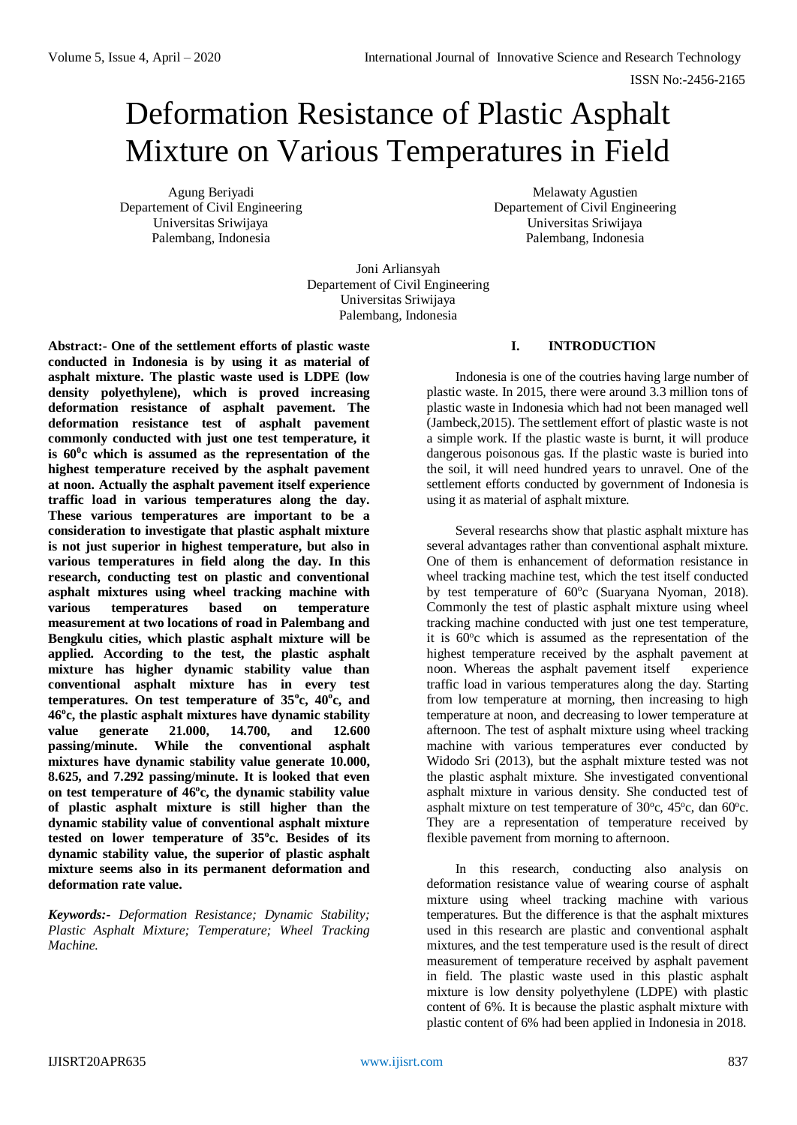# Deformation Resistance of Plastic Asphalt Mixture on Various Temperatures in Field

Agung Beriyadi Departement of Civil Engineering Universitas Sriwijaya Palembang, Indonesia

Melawaty Agustien Departement of Civil Engineering Universitas Sriwijaya Palembang, Indonesia

Joni Arliansyah Departement of Civil Engineering Universitas Sriwijaya Palembang, Indonesia

**Abstract:- One of the settlement efforts of plastic waste conducted in Indonesia is by using it as material of asphalt mixture. The plastic waste used is LDPE (low density polyethylene), which is proved increasing deformation resistance of asphalt pavement. The deformation resistance test of asphalt pavement commonly conducted with just one test temperature, it is 60<sup>0</sup> c which is assumed as the representation of the highest temperature received by the asphalt pavement at noon. Actually the asphalt pavement itself experience traffic load in various temperatures along the day. These various temperatures are important to be a consideration to investigate that plastic asphalt mixture is not just superior in highest temperature, but also in various temperatures in field along the day. In this research, conducting test on plastic and conventional asphalt mixtures using wheel tracking machine with various temperatures based on temperature measurement at two locations of road in Palembang and Bengkulu cities, which plastic asphalt mixture will be applied. According to the test, the plastic asphalt mixture has higher dynamic stability value than conventional asphalt mixture has in every test temperatures. On test temperature of 35<sup>o</sup> c, 40<sup>o</sup> c, and 46<sup>o</sup> c, the plastic asphalt mixtures have dynamic stability value generate 21.000, 14.700, and 12.600 passing/minute. While the conventional asphalt mixtures have dynamic stability value generate 10.000, 8.625, and 7.292 passing/minute. It is looked that even on test temperature of 46 o c, the dynamic stability value of plastic asphalt mixture is still higher than the dynamic stability value of conventional asphalt mixture tested on lower temperature of 35<sup>o</sup> c. Besides of its dynamic stability value, the superior of plastic asphalt mixture seems also in its permanent deformation and deformation rate value.** 

*Keywords:- Deformation Resistance; Dynamic Stability; Plastic Asphalt Mixture; Temperature; Wheel Tracking Machine.*

# **I. INTRODUCTION**

Indonesia is one of the coutries having large number of plastic waste. In 2015, there were around 3.3 million tons of plastic waste in Indonesia which had not been managed well (Jambeck,2015). The settlement effort of plastic waste is not a simple work. If the plastic waste is burnt, it will produce dangerous poisonous gas. If the plastic waste is buried into the soil, it will need hundred years to unravel. One of the settlement efforts conducted by government of Indonesia is using it as material of asphalt mixture.

Several researchs show that plastic asphalt mixture has several advantages rather than conventional asphalt mixture. One of them is enhancement of deformation resistance in wheel tracking machine test, which the test itself conducted by test temperature of 60°c (Suaryana Nyoman, 2018). Commonly the test of plastic asphalt mixture using wheel tracking machine conducted with just one test temperature, it is 60°c which is assumed as the representation of the highest temperature received by the asphalt pavement at noon. Whereas the asphalt pavement itself experience traffic load in various temperatures along the day. Starting from low temperature at morning, then increasing to high temperature at noon, and decreasing to lower temperature at afternoon. The test of asphalt mixture using wheel tracking machine with various temperatures ever conducted by Widodo Sri (2013), but the asphalt mixture tested was not the plastic asphalt mixture. She investigated conventional asphalt mixture in various density. She conducted test of asphalt mixture on test temperature of  $30^{\circ}$ c,  $45^{\circ}$ c, dan  $60^{\circ}$ c. They are a representation of temperature received by flexible pavement from morning to afternoon.

In this research, conducting also analysis on deformation resistance value of wearing course of asphalt mixture using wheel tracking machine with various temperatures. But the difference is that the asphalt mixtures used in this research are plastic and conventional asphalt mixtures, and the test temperature used is the result of direct measurement of temperature received by asphalt pavement in field. The plastic waste used in this plastic asphalt mixture is low density polyethylene (LDPE) with plastic content of 6%. It is because the plastic asphalt mixture with plastic content of 6% had been applied in Indonesia in 2018.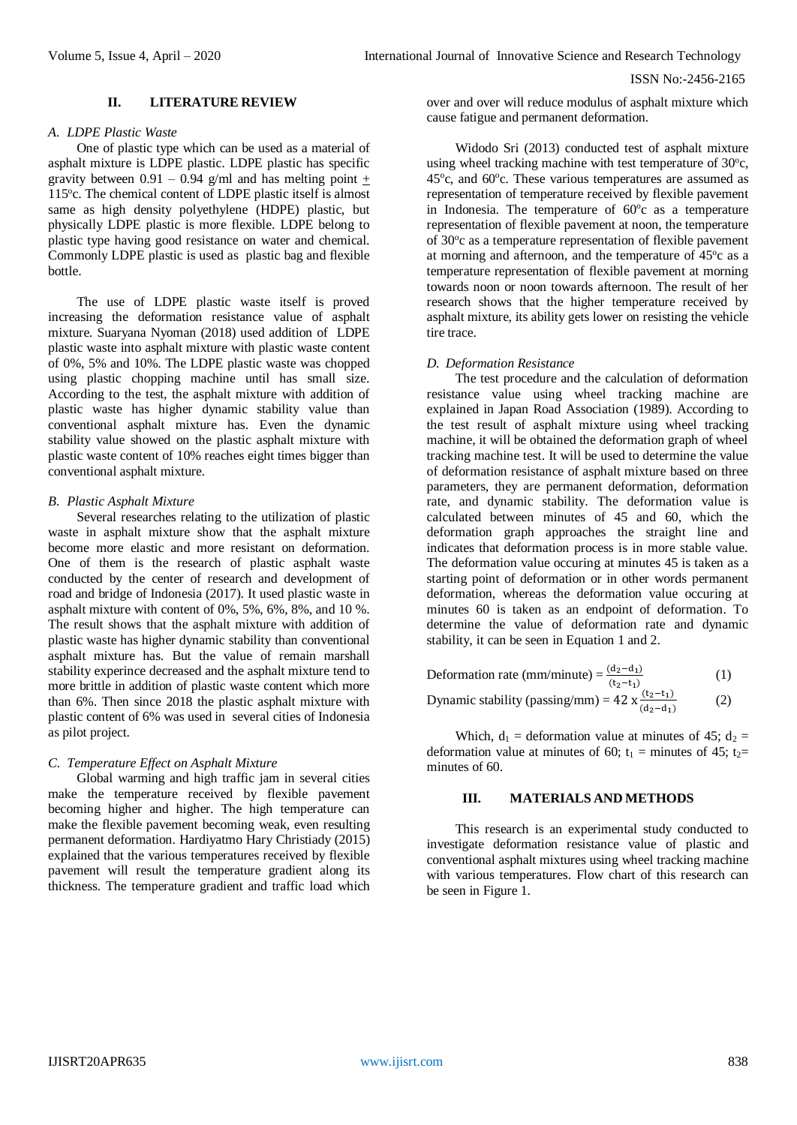# **II. LITERATURE REVIEW**

#### *A. LDPE Plastic Waste*

One of plastic type which can be used as a material of asphalt mixture is LDPE plastic. LDPE plastic has specific gravity between 0.91 – 0.94 g/ml and has melting point  $\pm$ 115°c. The chemical content of LDPE plastic itself is almost same as high density polyethylene (HDPE) plastic, but physically LDPE plastic is more flexible. LDPE belong to plastic type having good resistance on water and chemical. Commonly LDPE plastic is used as plastic bag and flexible bottle.

The use of LDPE plastic waste itself is proved increasing the deformation resistance value of asphalt mixture. Suaryana Nyoman (2018) used addition of LDPE plastic waste into asphalt mixture with plastic waste content of 0%, 5% and 10%. The LDPE plastic waste was chopped using plastic chopping machine until has small size. According to the test, the asphalt mixture with addition of plastic waste has higher dynamic stability value than conventional asphalt mixture has. Even the dynamic stability value showed on the plastic asphalt mixture with plastic waste content of 10% reaches eight times bigger than conventional asphalt mixture.

# *B. Plastic Asphalt Mixture*

Several researches relating to the utilization of plastic waste in asphalt mixture show that the asphalt mixture become more elastic and more resistant on deformation. One of them is the research of plastic asphalt waste conducted by the center of research and development of road and bridge of Indonesia (2017). It used plastic waste in asphalt mixture with content of 0%, 5%, 6%, 8%, and 10 %. The result shows that the asphalt mixture with addition of plastic waste has higher dynamic stability than conventional asphalt mixture has. But the value of remain marshall stability experince decreased and the asphalt mixture tend to more brittle in addition of plastic waste content which more than 6%. Then since 2018 the plastic asphalt mixture with plastic content of 6% was used in several cities of Indonesia as pilot project.

# *C. Temperature Effect on Asphalt Mixture*

Global warming and high traffic jam in several cities make the temperature received by flexible pavement becoming higher and higher. The high temperature can make the flexible pavement becoming weak, even resulting permanent deformation. Hardiyatmo Hary Christiady (2015) explained that the various temperatures received by flexible pavement will result the temperature gradient along its thickness. The temperature gradient and traffic load which

over and over will reduce modulus of asphalt mixture which cause fatigue and permanent deformation.

Widodo Sri (2013) conducted test of asphalt mixture using wheel tracking machine with test temperature of  $30^{\circ}$ c, 45°c, and 60°c. These various temperatures are assumed as representation of temperature received by flexible pavement in Indonesia. The temperature of  $60^{\circ}$ c as a temperature representation of flexible pavement at noon, the temperature of 30°c as a temperature representation of flexible pavement at morning and afternoon, and the temperature of 45°c as a temperature representation of flexible pavement at morning towards noon or noon towards afternoon. The result of her research shows that the higher temperature received by asphalt mixture, its ability gets lower on resisting the vehicle tire trace.

# *D. Deformation Resistance*

The test procedure and the calculation of deformation resistance value using wheel tracking machine are explained in Japan Road Association (1989). According to the test result of asphalt mixture using wheel tracking machine, it will be obtained the deformation graph of wheel tracking machine test. It will be used to determine the value of deformation resistance of asphalt mixture based on three parameters, they are permanent deformation, deformation rate, and dynamic stability. The deformation value is calculated between minutes of 45 and 60, which the deformation graph approaches the straight line and indicates that deformation process is in more stable value. The deformation value occuring at minutes 45 is taken as a starting point of deformation or in other words permanent deformation, whereas the deformation value occuring at minutes 60 is taken as an endpoint of deformation. To determine the value of deformation rate and dynamic stability, it can be seen in Equation 1 and 2.

| Deformation rate (mm/minute) = $\frac{(d_2-d_1)}{(t_2-t_1)}$        | (1) |
|---------------------------------------------------------------------|-----|
| Dynamic stability (passing/mm) = 42 x $\frac{(t_2-t_1)}{(d_2-d_1)}$ | (2) |

Which,  $d_1$  = deformation value at minutes of 45;  $d_2$  = deformation value at minutes of 60;  $t_1$  = minutes of 45;  $t_2$ = minutes of 60.

# **III. MATERIALS AND METHODS**

This research is an experimental study conducted to investigate deformation resistance value of plastic and conventional asphalt mixtures using wheel tracking machine with various temperatures. Flow chart of this research can be seen in Figure 1.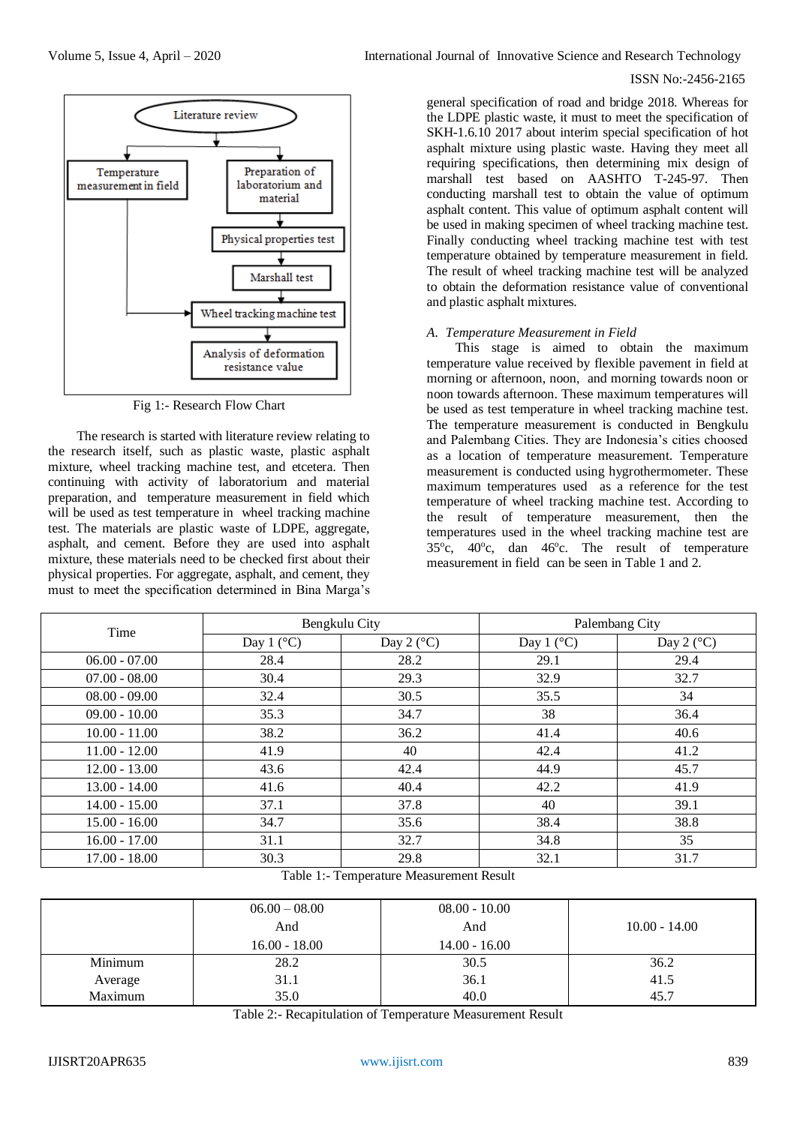

Fig 1:- Research Flow Chart

The research is started with literature review relating to the research itself, such as plastic waste, plastic asphalt mixture, wheel tracking machine test, and etcetera. Then continuing with activity of laboratorium and material preparation, and temperature measurement in field which will be used as test temperature in wheel tracking machine test. The materials are plastic waste of LDPE, aggregate, asphalt, and cement. Before they are used into asphalt mixture, these materials need to be checked first about their physical properties. For aggregate, asphalt, and cement, they must to meet the specification determined in Bina Marga's

#### ISSN No:-2456-2165

general specification of road and bridge 2018. Whereas for the LDPE plastic waste, it must to meet the specification of SKH-1.6.10 2017 about interim special specification of hot asphalt mixture using plastic waste. Having they meet all requiring specifications, then determining mix design of marshall test based on AASHTO T-245-97. Then conducting marshall test to obtain the value of optimum asphalt content. This value of optimum asphalt content will be used in making specimen of wheel tracking machine test. Finally conducting wheel tracking machine test with test temperature obtained by temperature measurement in field. The result of wheel tracking machine test will be analyzed to obtain the deformation resistance value of conventional and plastic asphalt mixtures.

#### *A. Temperature Measurement in Field*

This stage is aimed to obtain the maximum temperature value received by flexible pavement in field at morning or afternoon, noon, and morning towards noon or noon towards afternoon. These maximum temperatures will be used as test temperature in wheel tracking machine test. The temperature measurement is conducted in Bengkulu and Palembang Cities. They are Indonesia's cities choosed as a location of temperature measurement. Temperature measurement is conducted using hygrothermometer. These maximum temperatures used as a reference for the test temperature of wheel tracking machine test. According to the result of temperature measurement, then the temperatures used in the wheel tracking machine test are 35°c, 40°c, dan 46°c. The result of temperature measurement in field can be seen in Table 1 and 2.

| Time            | Bengkulu City       |                     | Palembang City      |                     |
|-----------------|---------------------|---------------------|---------------------|---------------------|
|                 | Day 1 $(^{\circ}C)$ | Day 2 $(^{\circ}C)$ | Day 1 $(^{\circ}C)$ | Day 2 $(^{\circ}C)$ |
| $06.00 - 07.00$ | 28.4                | 28.2                | 29.1                | 29.4                |
| $07.00 - 08.00$ | 30.4                | 29.3                | 32.9                | 32.7                |
| $08.00 - 09.00$ | 32.4                | 30.5                | 35.5                | 34                  |
| $09.00 - 10.00$ | 35.3                | 34.7                | 38                  | 36.4                |
| $10.00 - 11.00$ | 38.2                | 36.2                | 41.4                | 40.6                |
| $11.00 - 12.00$ | 41.9                | 40                  | 42.4                | 41.2                |
| $12.00 - 13.00$ | 43.6                | 42.4                | 44.9                | 45.7                |
| $13.00 - 14.00$ | 41.6                | 40.4                | 42.2                | 41.9                |
| $14.00 - 15.00$ | 37.1                | 37.8                | 40                  | 39.1                |
| $15.00 - 16.00$ | 34.7                | 35.6                | 38.4                | 38.8                |
| $16.00 - 17.00$ | 31.1                | 32.7                | 34.8                | 35                  |
| $17.00 - 18.00$ | 30.3                | 29.8                | 32.1                | 31.7                |

| Table 1:- Temperature Measurement Result |
|------------------------------------------|
|                                          |

|         | $06.00 - 08.00$<br>And<br>$16.00 - 18.00$ | $08.00 - 10.00$<br>And<br>$14.00 - 16.00$ | $10.00 - 14.00$ |
|---------|-------------------------------------------|-------------------------------------------|-----------------|
| Minimum | 28.2                                      | 30.5                                      | 36.2            |
| Average | 31.1                                      | 36.1                                      | 41.5            |
| Maximum | 35.0                                      | 40.0                                      | 45.7            |

Table 2:- Recapitulation of Temperature Measurement Result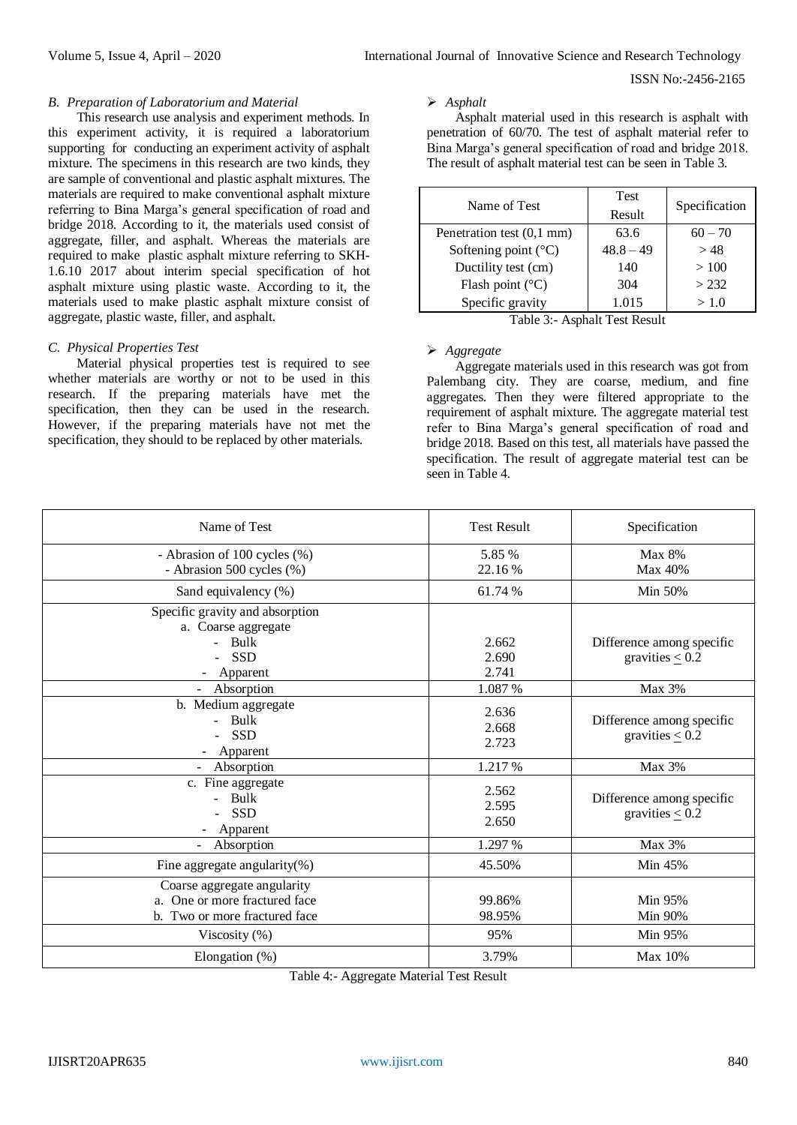#### *B. Preparation of Laboratorium and Material*

This research use analysis and experiment methods. In this experiment activity, it is required a laboratorium supporting for conducting an experiment activity of asphalt mixture. The specimens in this research are two kinds, they are sample of conventional and plastic asphalt mixtures. The materials are required to make conventional asphalt mixture referring to Bina Marga's general specification of road and bridge 2018. According to it, the materials used consist of aggregate, filler, and asphalt. Whereas the materials are required to make plastic asphalt mixture referring to SKH-1.6.10 2017 about interim special specification of hot asphalt mixture using plastic waste. According to it, the materials used to make plastic asphalt mixture consist of aggregate, plastic waste, filler, and asphalt.

# *C. Physical Properties Test*

Material physical properties test is required to see whether materials are worthy or not to be used in this research. If the preparing materials have met the specification, then they can be used in the research. However, if the preparing materials have not met the specification, they should to be replaced by other materials.

#### *Asphalt*

Asphalt material used in this research is asphalt with penetration of 60/70. The test of asphalt material refer to Bina Marga's general specification of road and bridge 2018. The result of asphalt material test can be seen in Table 3.

| Name of Test                  | <b>Test</b><br>Result | Specification |
|-------------------------------|-----------------------|---------------|
| Penetration test (0,1 mm)     | 63.6                  | $60 - 70$     |
| Softening point $(^{\circ}C)$ | $48.8 - 49$           | >48           |
| Ductility test (cm)           | 140                   | >100          |
| Flash point $(^{\circ}C)$     | 304                   | > 232         |
| Specific gravity              | 1.015                 | > 1.0         |

Table 3:- Asphalt Test Result

#### *Aggregate*

Aggregate materials used in this research was got from Palembang city. They are coarse, medium, and fine aggregates. Then they were filtered appropriate to the requirement of asphalt mixture. The aggregate material test refer to Bina Marga's general specification of road and bridge 2018. Based on this test, all materials have passed the specification. The result of aggregate material test can be seen in Table 4.

| Name of Test                                                                                  | <b>Test Result</b>      | Specification                                     |
|-----------------------------------------------------------------------------------------------|-------------------------|---------------------------------------------------|
| - Abrasion of 100 cycles (%)                                                                  | 5.85 %                  | Max 8%                                            |
| - Abrasion 500 cycles (%)                                                                     | 22.16 %                 | Max 40%                                           |
| Sand equivalency (%)                                                                          | 61.74 %                 | Min 50%                                           |
| Specific gravity and absorption<br>a. Coarse aggregate<br>Bulk<br><b>SSD</b><br>Apparent      | 2.662<br>2.690<br>2.741 | Difference among specific<br>gravities $\leq 0.2$ |
| Absorption                                                                                    | 1.087 %                 | Max 3%                                            |
| b. Medium aggregate<br>Bulk<br><b>SSD</b><br>Apparent                                         | 2.636<br>2.668<br>2.723 | Difference among specific<br>gravities $\leq 0.2$ |
| Absorption                                                                                    | 1.217 %                 | Max 3%                                            |
| c. Fine aggregate<br>Bulk<br><b>SSD</b><br>Apparent                                           | 2.562<br>2.595<br>2.650 | Difference among specific<br>gravities $\leq 0.2$ |
| Absorption                                                                                    | 1.297 %                 | Max 3%                                            |
| Fine aggregate angularity $(\%)$                                                              | 45.50%                  | Min 45%                                           |
| Coarse aggregate angularity<br>a. One or more fractured face<br>b. Two or more fractured face | 99.86%<br>98.95%        | Min 95%<br>Min 90%                                |
| Viscosity $(\%)$                                                                              | 95%                     | Min 95%                                           |
| Elongation $(\%)$                                                                             | 3.79%                   | Max 10%                                           |

Table 4:- Aggregate Material Test Result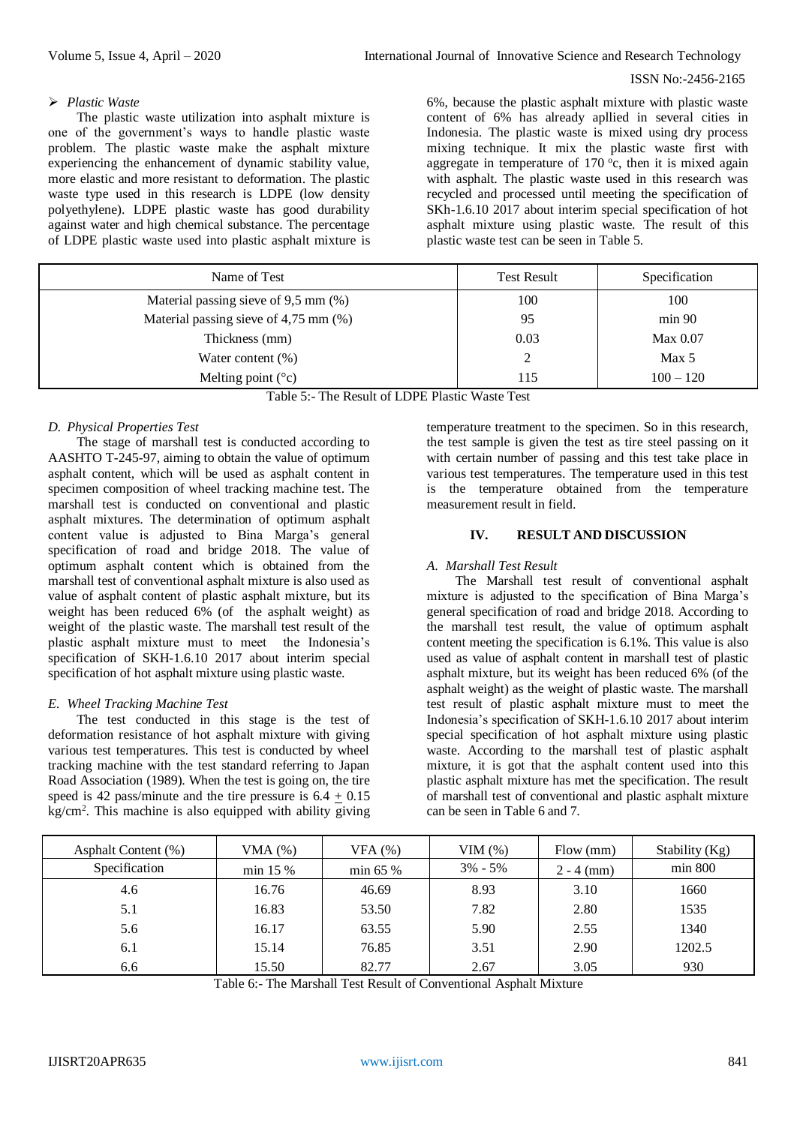# *Plastic Waste*

The plastic waste utilization into asphalt mixture is one of the government's ways to handle plastic waste problem. The plastic waste make the asphalt mixture experiencing the enhancement of dynamic stability value, more elastic and more resistant to deformation. The plastic waste type used in this research is LDPE (low density polyethylene). LDPE plastic waste has good durability against water and high chemical substance. The percentage of LDPE plastic waste used into plastic asphalt mixture is

6%, because the plastic asphalt mixture with plastic waste content of 6% has already apllied in several cities in Indonesia. The plastic waste is mixed using dry process mixing technique. It mix the plastic waste first with aggregate in temperature of  $170^{\circ}$ c, then it is mixed again with asphalt. The plastic waste used in this research was recycled and processed until meeting the specification of SKh-1.6.10 2017 about interim special specification of hot asphalt mixture using plastic waste. The result of this plastic waste test can be seen in Table 5.

| Name of Test                               | <b>Test Result</b> | Specification    |
|--------------------------------------------|--------------------|------------------|
| Material passing sieve of 9,5 mm (%)       | 100                | 100              |
| Material passing sieve of $4,75$ mm $(\%)$ | 95                 | min 90           |
| Thickness (mm)                             | 0.03               | Max 0.07         |
| Water content $(\%)$                       | $\mathcal{D}$      | Max <sub>5</sub> |
| Melting point $({}^{\circ}c)$              | 115                | $100 - 120$      |

| Table 5:- The Result of LDPE Plastic Waste Test |  |  |  |  |  |
|-------------------------------------------------|--|--|--|--|--|
|-------------------------------------------------|--|--|--|--|--|

# *D. Physical Properties Test*

The stage of marshall test is conducted according to AASHTO T-245-97, aiming to obtain the value of optimum asphalt content, which will be used as asphalt content in specimen composition of wheel tracking machine test. The marshall test is conducted on conventional and plastic asphalt mixtures. The determination of optimum asphalt content value is adjusted to Bina Marga's general specification of road and bridge 2018. The value of optimum asphalt content which is obtained from the marshall test of conventional asphalt mixture is also used as value of asphalt content of plastic asphalt mixture, but its weight has been reduced 6% (of the asphalt weight) as weight of the plastic waste. The marshall test result of the plastic asphalt mixture must to meet the Indonesia's specification of SKH-1.6.10 2017 about interim special specification of hot asphalt mixture using plastic waste.

# *E. Wheel Tracking Machine Test*

The test conducted in this stage is the test of deformation resistance of hot asphalt mixture with giving various test temperatures. This test is conducted by wheel tracking machine with the test standard referring to Japan Road Association (1989). When the test is going on, the tire speed is 42 pass/minute and the tire pressure is  $6.4 \pm 0.15$ kg/cm<sup>2</sup> . This machine is also equipped with ability giving temperature treatment to the specimen. So in this research, the test sample is given the test as tire steel passing on it with certain number of passing and this test take place in various test temperatures. The temperature used in this test is the temperature obtained from the temperature measurement result in field.

# **IV. RESULT AND DISCUSSION**

# *A. Marshall Test Result*

The Marshall test result of conventional asphalt mixture is adjusted to the specification of Bina Marga's general specification of road and bridge 2018. According to the marshall test result, the value of optimum asphalt content meeting the specification is 6.1%. This value is also used as value of asphalt content in marshall test of plastic asphalt mixture, but its weight has been reduced 6% (of the asphalt weight) as the weight of plastic waste. The marshall test result of plastic asphalt mixture must to meet the Indonesia's specification of SKH-1.6.10 2017 about interim special specification of hot asphalt mixture using plastic waste. According to the marshall test of plastic asphalt mixture, it is got that the asphalt content used into this plastic asphalt mixture has met the specification. The result of marshall test of conventional and plastic asphalt mixture can be seen in Table 6 and 7.

| Asphalt Content (%) | $VMA$ $(\%)$ | VFA(%)       | VIM $(\%)$  | Flow (mm)    | Stability (Kg) |
|---------------------|--------------|--------------|-------------|--------------|----------------|
| Specification       | min 15 %     | $\min 65 \%$ | $3\% - 5\%$ | $2 - 4$ (mm) | min 800        |
| 4.6                 | 16.76        | 46.69        | 8.93        | 3.10         | 1660           |
| 5.1                 | 16.83        | 53.50        | 7.82        | 2.80         | 1535           |
| 5.6                 | 16.17        | 63.55        | 5.90        | 2.55         | 1340           |
| 6.1                 | 15.14        | 76.85        | 3.51        | 2.90         | 1202.5         |
| 6.6                 | 15.50        | 82.77        | 2.67        | 3.05         | 930            |

Table 6:- The Marshall Test Result of Conventional Asphalt Mixture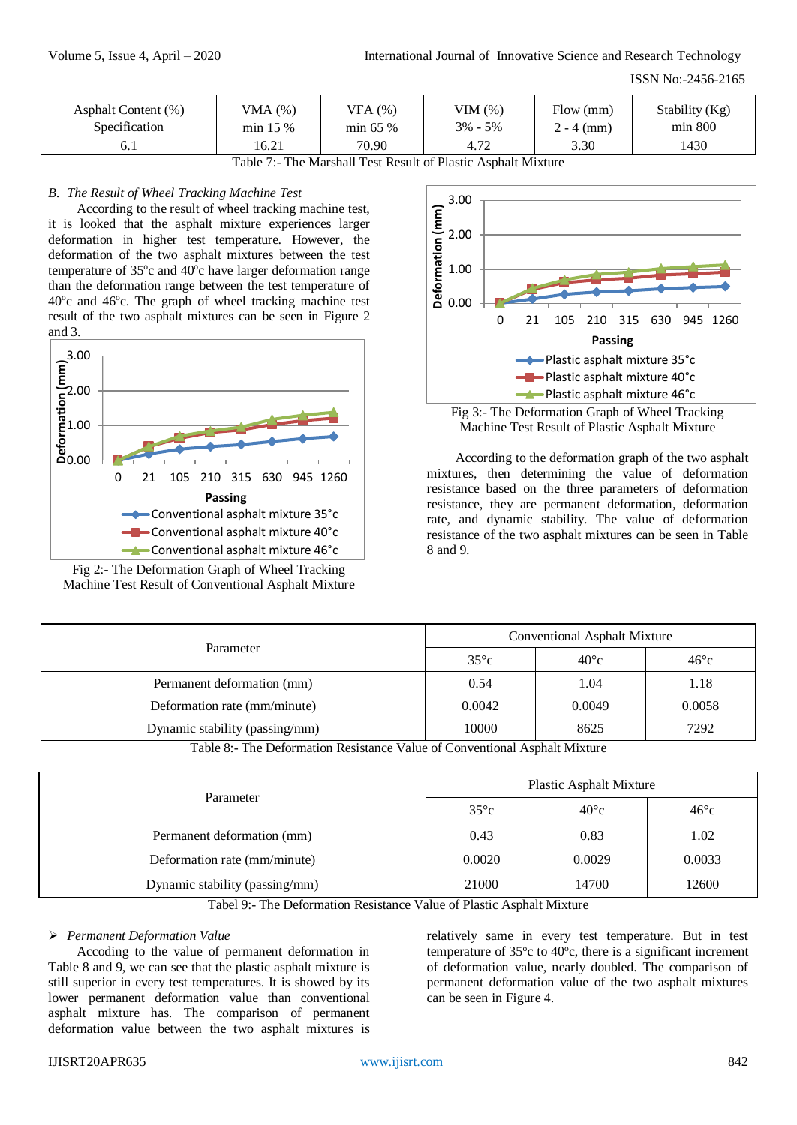| Asphalt Content (%) | VMA $(%)$  | VFA (%)      | VIM $(\%)$  | Flow (mm)                             | Stability (Kg) |
|---------------------|------------|--------------|-------------|---------------------------------------|----------------|
| Specification       | $min$ 15 % | $\min 65 \%$ | $3\% - 5\%$ | $-4$ (mm)<br>$\overline{\phantom{0}}$ | min 800        |
| O. 1                | 16.21      | 70.90        | 4.72        | 3.30                                  | 1430           |

Table 7:- The Marshall Test Result of Plastic Asphalt Mixture

# *B. The Result of Wheel Tracking Machine Test*

According to the result of wheel tracking machine test, it is looked that the asphalt mixture experiences larger deformation in higher test temperature. However, the deformation of the two asphalt mixtures between the test temperature of 35°c and 40°c have larger deformation range than the deformation range between the test temperature of 40°c and 46°c. The graph of wheel tracking machine test result of the two asphalt mixtures can be seen in Figure 2 and 3.



Fig 2:- The Deformation Graph of Wheel Tracking Machine Test Result of Conventional Asphalt Mixture



Fig 3:- The Deformation Graph of Wheel Tracking Machine Test Result of Plastic Asphalt Mixture

According to the deformation graph of the two asphalt mixtures, then determining the value of deformation resistance based on the three parameters of deformation resistance, they are permanent deformation, deformation rate, and dynamic stability. The value of deformation resistance of the two asphalt mixtures can be seen in Table 8 and 9.

| Parameter                                                                                             | Conventional Asphalt Mixture                                |                                                                                            |               |
|-------------------------------------------------------------------------------------------------------|-------------------------------------------------------------|--------------------------------------------------------------------------------------------|---------------|
|                                                                                                       | $35^{\circ}c$                                               | $40^{\circ}c$                                                                              | $46^{\circ}c$ |
| Permanent deformation (mm)                                                                            | 0.54                                                        | 1.04                                                                                       | 1.18          |
| Deformation rate (mm/minute)                                                                          | 0.0042                                                      | 0.0049                                                                                     | 0.0058        |
| Dynamic stability (passing/mm)                                                                        | 10000                                                       | 8625                                                                                       | 7292          |
| $\mathbf{v}$<br>$\mathbf{m}$ is $\mathbf{m}$ in $\mathbf{c}$ in $\mathbf{m}$ is a set of $\mathbf{m}$ | $\sim$ $\sim$<br>and the state of the state of the state of | $\mathbf{1}$ $\mathbf{1}$ $\mathbf{1}$ $\mathbf{1}$ $\mathbf{1}$ $\mathbf{1}$ $\mathbf{1}$ |               |

Table 8:- The Deformation Resistance Value of Conventional Asphalt Mixture

|                                | <b>Plastic Asphalt Mixture</b> |               |               |
|--------------------------------|--------------------------------|---------------|---------------|
| Parameter                      | $35^{\circ}c$                  | $40^{\circ}c$ | $46^{\circ}c$ |
| Permanent deformation (mm)     | 0.43                           | 0.83          | 1.02          |
| Deformation rate (mm/minute)   | 0.0020                         | 0.0029        | 0.0033        |
| Dynamic stability (passing/mm) | 21000                          | 14700         | 12600         |

Tabel 9:- The Deformation Resistance Value of Plastic Asphalt Mixture

# *Permanent Deformation Value*

Accoding to the value of permanent deformation in Table 8 and 9, we can see that the plastic asphalt mixture is still superior in every test temperatures. It is showed by its lower permanent deformation value than conventional asphalt mixture has. The comparison of permanent deformation value between the two asphalt mixtures is

relatively same in every test temperature. But in test temperature of  $35^{\circ}$ c to  $40^{\circ}$ c, there is a significant increment of deformation value, nearly doubled. The comparison of permanent deformation value of the two asphalt mixtures can be seen in Figure 4.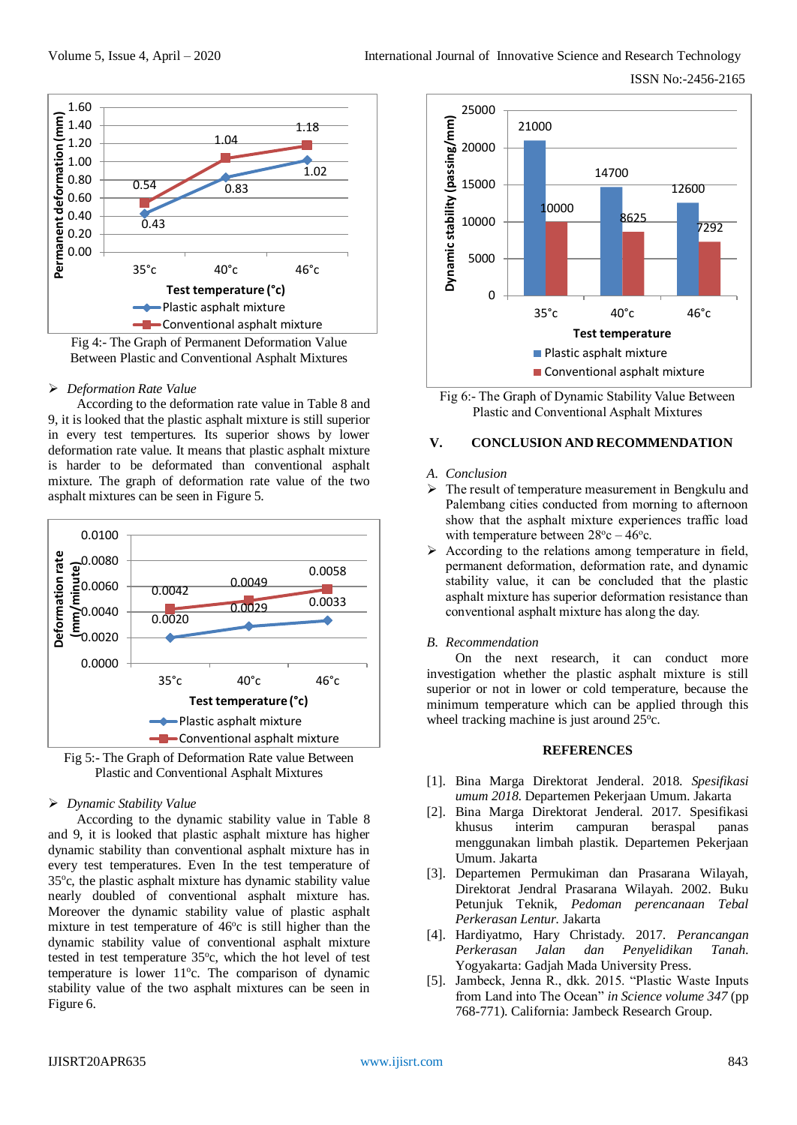



#### *Deformation Rate Value*

According to the deformation rate value in Table 8 and 9, it is looked that the plastic asphalt mixture is still superior in every test tempertures. Its superior shows by lower deformation rate value. It means that plastic asphalt mixture is harder to be deformated than conventional asphalt mixture. The graph of deformation rate value of the two asphalt mixtures can be seen in Figure 5.



Fig 5:- The Graph of Deformation Rate value Between Plastic and Conventional Asphalt Mixtures

# *Dynamic Stability Value*

According to the dynamic stability value in Table 8 and 9, it is looked that plastic asphalt mixture has higher dynamic stability than conventional asphalt mixture has in every test temperatures. Even In the test temperature of 35°c, the plastic asphalt mixture has dynamic stability value nearly doubled of conventional asphalt mixture has. Moreover the dynamic stability value of plastic asphalt mixture in test temperature of  $46^{\circ}$ c is still higher than the dynamic stability value of conventional asphalt mixture tested in test temperature 35°c, which the hot level of test temperature is lower 11°c. The comparison of dynamic stability value of the two asphalt mixtures can be seen in Figure 6.





#### **V. CONCLUSION AND RECOMMENDATION**

#### *A. Conclusion*

- $\triangleright$  The result of temperature measurement in Bengkulu and Palembang cities conducted from morning to afternoon show that the asphalt mixture experiences traffic load with temperature between  $28^{\circ}c - 46^{\circ}c$ .
- $\triangleright$  According to the relations among temperature in field, permanent deformation, deformation rate, and dynamic stability value, it can be concluded that the plastic asphalt mixture has superior deformation resistance than conventional asphalt mixture has along the day.

# *B. Recommendation*

On the next research, it can conduct more investigation whether the plastic asphalt mixture is still superior or not in lower or cold temperature, because the minimum temperature which can be applied through this wheel tracking machine is just around 25°c.

# **REFERENCES**

- [1]. Bina Marga Direktorat Jenderal. 2018. *Spesifikasi umum 2018*. Departemen Pekerjaan Umum. Jakarta
- [2]. Bina Marga Direktorat Jenderal. 2017. Spesifikasi khusus interim campuran beraspal panas menggunakan limbah plastik. Departemen Pekerjaan Umum. Jakarta
- [3]. Departemen Permukiman dan Prasarana Wilayah, Direktorat Jendral Prasarana Wilayah. 2002. Buku Petunjuk Teknik, *Pedoman perencanaan Tebal Perkerasan Lentur.* Jakarta
- [4]. Hardiyatmo, Hary Christady. 2017. *Perancangan Perkerasan Jalan dan Penyelidikan Tanah*. Yogyakarta: Gadjah Mada University Press.
- [5]. Jambeck, Jenna R., dkk. 2015. "Plastic Waste Inputs from Land into The Ocean" *in Science volume 347* (pp 768-771). California: Jambeck Research Group.